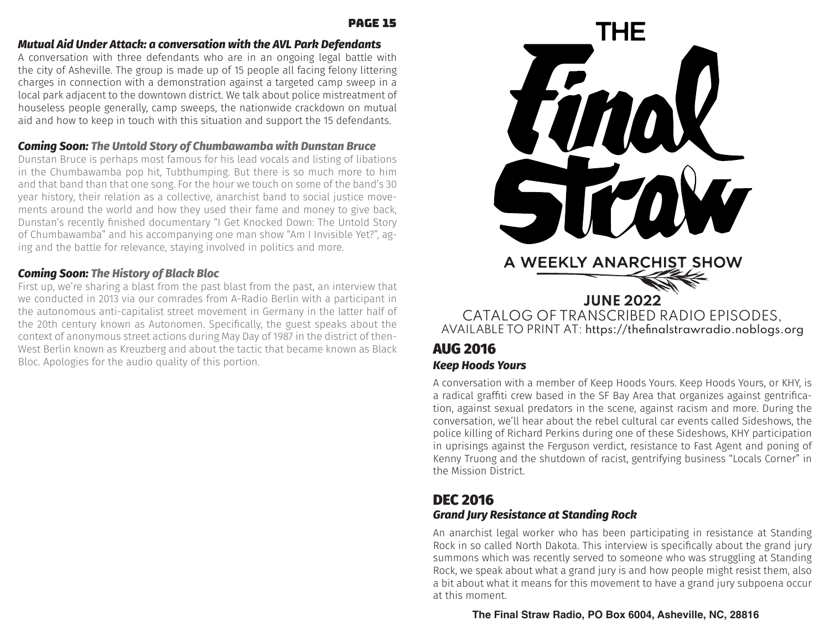#### page 15

#### *Mutual Aid Under Attack: a conversation with the AVL Park Defendants*

A conversation with three defendants who are in an ongoing legal battle with the city of Asheville. The group is made up of 15 people all facing felony littering charges in connection with a demonstration against a targeted camp sweep in a local park adjacent to the downtown district. We talk about police mistreatment of houseless people generally, camp sweeps, the nationwide crackdown on mutual aid and how to keep in touch with this situation and support the 15 defendants.

## *Coming Soon: The Untold Story of Chumbawamba with Dunstan Bruce*

Dunstan Bruce is perhaps most famous for his lead vocals and listing of libations in the Chumbawamba pop hit, Tubthumping. But there is so much more to him and that band than that one song. For the hour we touch on some of the band's 30 year history, their relation as a collective, anarchist band to social justice movements around the world and how they used their fame and money to give back, Dunstan's recently finished documentary "I Get Knocked Down: The Untold Story of Chumbawamba" and his accompanying one man show "Am I Invisible Yet?", aging and the battle for relevance, staying involved in politics and more.

## *Coming Soon: The History of Black Bloc*

First up, we're sharing a blast from the past blast from the past, an interview that we conducted in 2013 via our comrades from A-Radio Berlin with a participant in the autonomous anti-capitalist street movement in Germany in the latter half of the 20th century known as Autonomen. Specifically, the guest speaks about the context of anonymous street actions during May Day of 1987 in the district of then-West Berlin known as Kreuzberg and about the tactic that became known as Black Bloc. Apologies for the audio quality of this portion.



## AUG 2016 *Keep Hoods Yours*

A conversation with a member of Keep Hoods Yours. Keep Hoods Yours, or KHY, is a radical graffiti crew based in the SF Bay Area that organizes against gentrification, against sexual predators in the scene, against racism and more. During the conversation, we'll hear about the rebel cultural car events called Sideshows, the police killing of Richard Perkins during one of these Sideshows, KHY participation in uprisings against the Ferguson verdict, resistance to Fast Agent and poning of Kenny Truong and the shutdown of racist, gentrifying business "Locals Corner" in the Mission District.

# DEC 2016

#### *Grand Jury Resistance at Standing Rock*

An anarchist legal worker who has been participating in resistance at Standing Rock in so called North Dakota. This interview is specifically about the grand jury summons which was recently served to someone who was struggling at Standing Rock, we speak about what a grand jury is and how people might resist them, also a bit about what it means for this movement to have a grand jury subpoena occur at this moment.

**The Final Straw Radio, PO Box 6004, Asheville, NC, 28816**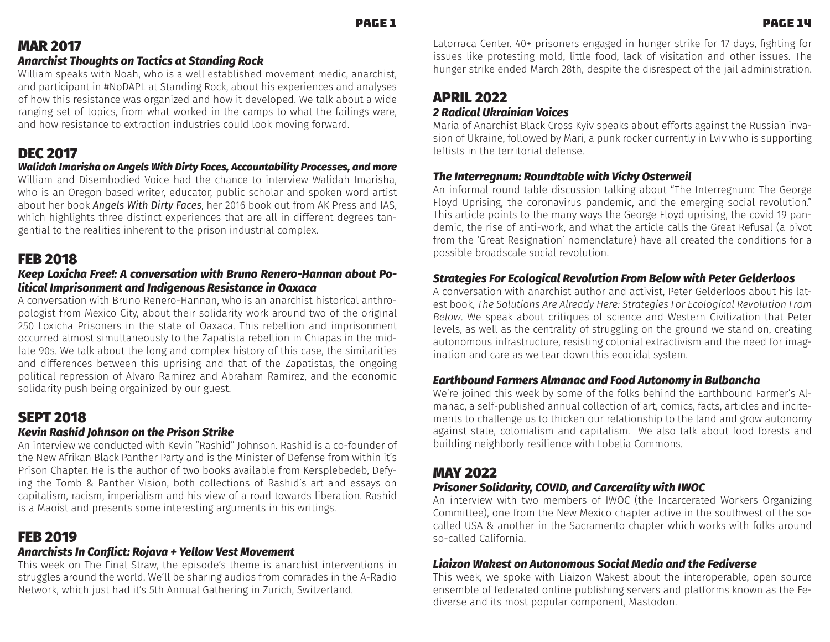# MAR 2017

### *Anarchist Thoughts on Tactics at Standing Rock*

William speaks with Noah, who is a well established movement medic, anarchist, and participant in #NoDAPL at Standing Rock, about his experiences and analyses of how this resistance was organized and how it developed. We talk about a wide ranging set of topics, from what worked in the camps to what the failings were, and how resistance to extraction industries could look moving forward.

# DEC 2017

#### *Walidah Imarisha on Angels With Dirty Faces, Accountability Processes, and more*

William and Disembodied Voice had the chance to interview Walidah Imarisha, who is an Oregon based writer, educator, public scholar and spoken word artist about her book **Angels With Dirty Faces**, her 2016 book out from AK Press and IAS, which highlights three distinct experiences that are all in different degrees tangential to the realities inherent to the prison industrial complex.

## FEB 2018

#### *Keep Loxicha Free!: A conversation with Bruno Renero-Hannan about Political Imprisonment and Indigenous Resistance in Oaxaca*

A conversation with Bruno Renero-Hannan, who is an anarchist historical anthropologist from Mexico City, about their solidarity work around two of the original 250 Loxicha Prisoners in the state of Oaxaca. This rebellion and imprisonment occurred almost simultaneously to the Zapatista rebellion in Chiapas in the midlate 90s. We talk about the long and complex history of this case, the similarities and differences between this uprising and that of the Zapatistas, the ongoing political repression of Alvaro Ramirez and Abraham Ramirez, and the economic solidarity push being orgainized by our guest.

# SEPT 2018

## *Kevin Rashid Johnson on the Prison Strike*

An interview we conducted with Kevin "Rashid" Johnson. Rashid is a co-founder of the New Afrikan Black Panther Party and is the Minister of Defense from within it's Prison Chapter. He is the author of two books available from Kersplebedeb, Defying the Tomb & Panther Vision, both collections of Rashid's art and essays on capitalism, racism, imperialism and his view of a road towards liberation. Rashid is a Maoist and presents some interesting arguments in his writings.

# FEB 2019

## *ȢŔɧƂǝǨɷʄɷ-wȢ-,ȲȢ˪ǨƂʄ-áȲǼŔʶŔ-इ-ĬƟȊȊȲʺ-ġƟɷʄ-ȲʶƟȜƟȢʄ*

This week on The Final Straw, the episode's theme is anarchist interventions in struggles around the world. We'll be sharing audios from comrades in the A-Radio Network, which just had it's 5th Annual Gathering in Zurich, Switzerland.

Latorraca Center. 40+ prisoners engaged in hunger strike for 17 days, fighting for issues like protesting mold, little food, lack of visitation and other issues. The hunger strike ended March 28th, despite the disrespect of the jail administration.

# APRIL 2022

### 2 Radical Ukrainian Voices

Maria of Anarchist Black Cross Kyiv speaks about efforts against the Russian invasion of Ukraine, followed by Mari, a punk rocker currently in Lviv who is supporting leftists in the territorial defense.

### *õǝƟ-wȢʄƟɧɧƟNJȢʙȜ-áȲʙȢƌʄŔŸȊƟ-ʺǨʄǝ-ġǨƂȄ˃-°ɷʄƟɧʺƟǨȊ*

An informal round table discussion talking about "The Interregnum: The George Floyd Uprising, the coronavirus pandemic, and the emerging social revolution." This article points to the many ways the George Floyd uprising, the covid 19 pandemic, the rise of anti-work, and what the article calls the Great Refusal (a pivot from the 'Great Resignation' nomenclature) have all created the conditions for a possible broadscale social revolution.

## *êʄɧŔʄƟNJǨƟɷ-`Ȳɧ-DƂȲȊȲNJǨƂŔȊ-áƟʶȲȊʙʄǨȲȢ-`ɧȲȜ-%ƟȊȲʺ-ʺǨʄǝ-ÚƟʄƟɧ-cƟȊƌƟɧȊȲȲɷ*

A conversation with anarchist author and activist, Peter Gelderloos about his latest book, *The Solutions Are Already Here: Strategies For Ecological Revolution From Below.* We speak about critiques of science and Western Civilization that Peter levels, as well as the centrality of struggling on the ground we stand on, creating autonomous infrastructure, resisting colonial extractivism and the need for imagination and care as we tear down this ecocidal system.

#### $\bm{\mathsf{Earth}}$  bound Farmers Almanac and Food Autonomy in Bulbancha

We're joined this week by some of the folks behind the Earthbound Farmer's Almanac, a self-published annual collection of art, comics, facts, articles and incitements to challenge us to thicken our relationship to the land and grow autonomy against state, colonialism and capitalism. We also talk about food forests and building neighborly resilience with Lobelia Commons.

## MAY 2022

## *ÚɧǨɷȲȢƟɧ-êȲȊǨƌŔɧǨʄ˃-,°ġw5-ŔȢƌ-,ŔɧƂƟɧŔȊǨʄ˃-ʺǨʄǝ-wĤ°,*

An interview with two members of IWOC (the Incarcerated Workers Organizing Committee), one from the New Mexico chapter active in the southwest of the socalled USA & another in the Sacramento chapter which works with folks around so-called California.

## $\boldsymbol{\mathsf{L}}$ *iaizon Wakest on Autonomous Social Media and the Fediverse*

This week, we spoke with Liaizon Wakest about the interoperable, open source ensemble of federated online publishing servers and platforms known as the Fediverse and its most popular component, Mastodon.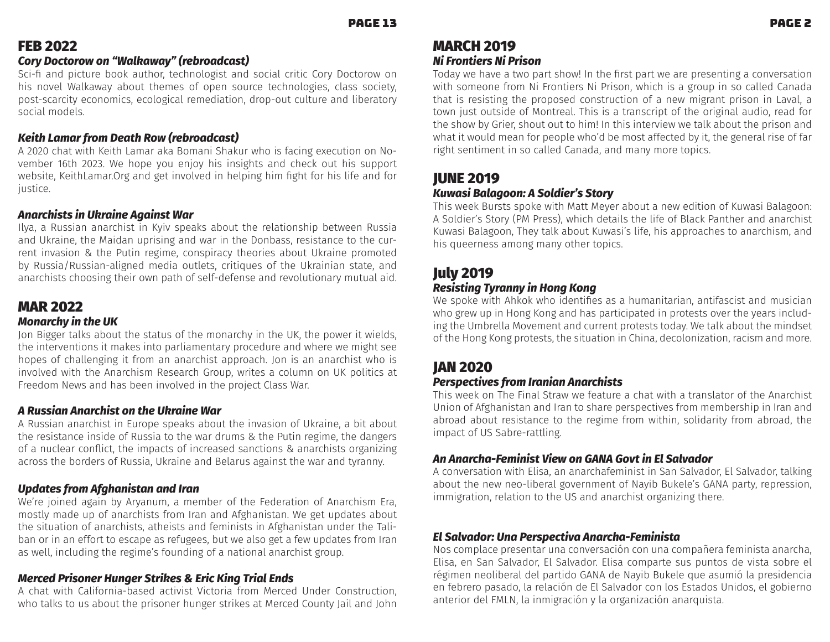# FEB 2022

### *,Ȳɧ˃-5ȲƂʄȲɧȲʺ-ȲȢ-ࢧĤŔȊȄŔʺŔ˃ࢨ-ࢇɧƟŸɧȲŔƌƂŔɷʄ࢈*

Sci-fi and picture book author, technologist and social critic Cory Doctorow on his novel Walkaway about themes of open source technologies, class society, post-scarcity economics, ecological remediation, drop-out culture and liberatory social models.

## Keith Lamar from Death Row (rebroadcast)

A 2020 chat with Keith Lamar aka Bomani Shakur who is facing execution on November 16th 2023. We hope you enjoy his insights and check out his support website, KeithLamar.Org and get involved in helping him fight for his life and for justice.

## *ȢŔɧƂǝǨɷʄɷ-ǨȢ-ĄȄɧŔǨȢƟ-NJŔǨȢɷʄ-ĤŔɧ*

llya, a Russian anarchist in Kyiv speaks about the relationship between Russia and Ukraine, the Maidan uprising and war in the Donbass, resistance to the current invasion & the Putin regime, conspiracy theories about Ukraine promoted by Russia/Russian-aligned media outlets, critiques of the Ukrainian state, and anarchists choosing their own path of self-defense and revolutionary mutual aid.

## MAR 2022

### *ȲȢŔɧƂǝ˃-ǨȢ-ʄǝƟ-Ą*

Jon Bigger talks about the status of the monarchy in the UK, the power it wields, the interventions it makes into parliamentary procedure and where we might see hopes of challenging it from an anarchist approach. Jon is an anarchist who is involved with the Anarchism Research Group, writes a column on UK politics at Freedom News and has been involved in the project Class War.

## *A Russian Anarchist on the Ukraine War*

A Russian anarchist in Europe speaks about the invasion of Ukraine, a bit about the resistance inside of Russia to the war drums & the Putin regime, the dangers of a nuclear conflict, the impacts of increased sanctions & anarchists organizing across the borders of Russia, Ukraine and Belarus against the war and tyranny.

## $\bm{\nu}$ pdates from Afghanistan and Iran

We're joined again by Aryanum, a member of the Federation of Anarchism Era, mostly made up of anarchists from Iran and Afghanistan. We get updates about the situation of anarchists, atheists and feminists in Afghanistan under the Taliban or in an effort to escape as refugees, but we also get a few updates from Iran as well, including the regime's founding of a national anarchist group.

## $M$ erced Prisoner Hunger Strikes & Eric King Trial Ends

A chat with California-based activist Victoria from Merced Under Construction, who talks to us about the prisoner hunger strikes at Merced County Jail and John

## MARCH 2019 *Ni Frontiers Ni Prison*

Today we have a two part show! In the first part we are presenting a conversation with someone from Ni Frontiers Ni Prison, which is a group in so called Canada that is resisting the proposed construction of a new migrant prison in Laval, a town just outside of Montreal. This is a transcript of the original audio, read for the show by Grier, shout out to him! In this interview we talk about the prison and what it would mean for people who'd be most affected by it, the general rise of far right sentiment in so called Canada, and many more topics.

# JUNE 2019

## *Kuwasi Balagoon: A Soldier's Story*

This week Bursts spoke with Matt Meyer about a new edition of Kuwasi Balagoon: A Soldier's Story (PM Press), which details the life of Black Panther and anarchist Kuwasi Balagoon, They talk about Kuwasi's life, his approaches to anarchism, and his queerness among many other topics.

# July 2019

## *Resisting Tyranny in Hong Kong*

We spoke with Ahkok who identifies as a humanitarian, antifascist and musician who grew up in Hong Kong and has participated in protests over the years including the Umbrella Movement and current protests today. We talk about the mindset of the Hong Kong protests, the situation in China, decolonization, racism and more.

# JAN 2020

## *Perspectives from Iranian Anarchists*

This week on The Final Straw we feature a chat with a translator of the Anarchist Union of Afghanistan and Iran to share perspectives from membership in Iran and abroad about resistance to the regime from within, solidarity from abroad, the impact of US Sabre-rattling.

## An Anarcha-Feminist View on GANA Govt in El Salvador

A conversation with Elisa, an anarchafeminist in San Salvador, El Salvador, talking about the new neo-liberal government of Nayib Bukele's GANA party, repression, immigration, relation to the US and anarchist organizing there.

## El Salvador: Una Perspectiva Anarcha-Feminista

Nos complace presentar una conversación con una compañera feminista anarcha, Elisa, en San Salvador, El Salvador. Elisa comparte sus puntos de vista sobre el régimen neoliberal del partido GANA de Nayib Bukele que asumió la presidencia en febrero pasado, la relación de El Salvador con los Estados Unidos, el gobierno anterior del FMLN, la inmigración y la organización anarquista.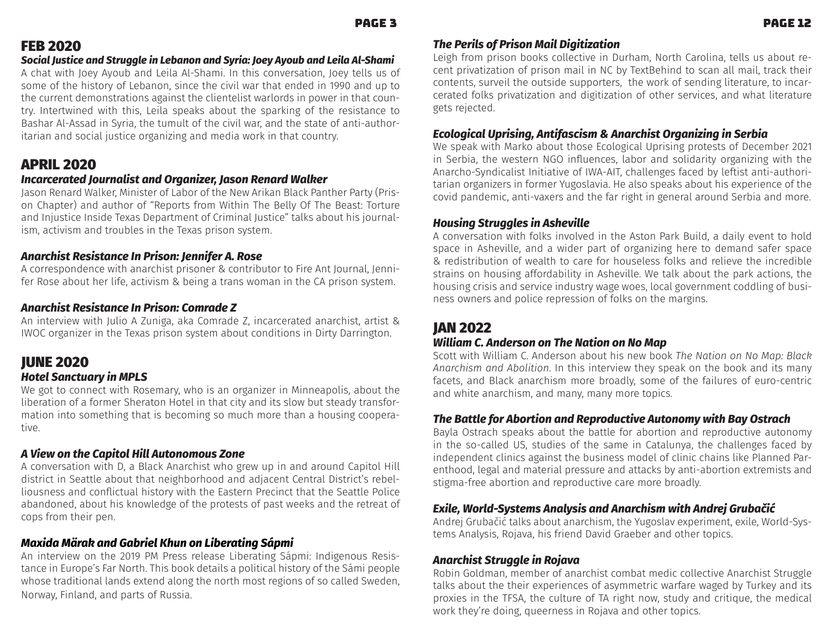## FEB 2020

#### *Social Justice and Struggle in Lebanon and Syria: Joey Ayoub and Leila Al-Shami*

A chat with Joey Ayoub and Leila Al-Shami. In this conversation, Joey tells us of some of the history of Lebanon, since the civil war that ended in 1990 and up to the current demonstrations against the clientelist warlords in power in that country. Intertwined with this, Leila speaks about the sparking of the resistance to Bashar Al-Assad in Syria, the tumult of the civil war, and the state of anti-authoritarian and social justice organizing and media work in that country.

## APRIL 2020

#### *Incarcerated Journalist and Organizer, Jason Renard Walker*

Jason Renard Walker, Minister of Labor of the New Arikan Black Panther Party (Prison Chapter) and author of "Reports from Within The Belly Of The Beast: Torture and Injustice Inside Texas Department of Criminal Justice" talks about his journalism, activism and troubles in the Texas prison system.

#### *Anarchist Resistance In Prison: Jennifer A. Rose*

A correspondence with anarchist prisoner & contributor to Fire Ant Journal, Jennifer Rose about her life, activism & being a trans woman in the CA prison system.

### *Anarchist Resistance In Prison: Comrade Z*

An interview with Julio A Zuniga, aka Comrade Z, incarcerated anarchist, artist & IWOC organizer in the Texas prison system about conditions in Dirty Darrington.

## JUNE 2020

#### *oȲʄƟȊ-êŔȢƂʄʙŔɧ˃-ǨȢ-Úê*

We got to connect with Rosemary, who is an organizer in Minneapolis, about the liberation of a former Sheraton Hotel in that city and its slow but steady transformation into something that is becoming so much more than a housing cooperative.

#### A View on the Capitol Hill Autonomous Zone

A conversation with D, a Black Anarchist who grew up in and around Capitol Hill district in Seattle about that neighborhood and adjacent Central District's rebelliousness and conflictual history with the Eastern Precinct that the Seattle Police abandoned, about his knowledge of the protests of past weeks and the retreat of cops from their pen.

#### *Maxida Märak and Gabriel Khun on Liberating Sápmi*

An interview on the 2019 PM Press release Liberating Sápmi: Indigenous Resistance in Europe's Far North. This book details a political history of the Sámi people whose traditional lands extend along the north most regions of so called Sweden, Norway, Finland, and parts of Russia.

## *õǝƟ-ÚƟɧǨȊɷ-ȲLJ-ÚɧǨɷȲȢ-ŔǨȊ-5ǨNJǨʄǨˏŔʄǨȲȢ*

Leigh from prison books collective in Durham, North Carolina, tells us about recent privatization of prison mail in NC by TextBehind to scan all mail, track their contents, surveil the outside supporters, the work of sending literature, to incarcerated folks privatization and digitization of other services, and what literature gets rejected.

#### *DƂȲȊȲNJǨƂŔȊ-ĄɝɧǨɷǨȢNJ-ȢʄǨLJŔɷƂǨɷȜ-ॺ-ȢŔɧƂǝǨɷʄ-°ɧNJŔȢǨˏǨȢNJ-ǨȢ-êƟɧŸǨŔ*

We speak with Marko about those Ecological Uprising protests of December 2021 in Serbia, the western NGO influences, labor and solidarity organizing with the Anarcho-Syndicalist Initiative of IWA-AIT, challenges faced by leftist anti-authoritarian organizers in former Yugoslavia. He also speaks about his experience of the covid pandemic, anti-vaxers and the far right in general around Serbia and more.

#### *Housing Struggles in Asheville*

A conversation with folks involved in the Aston Park Build, a daily event to hold space in Asheville, and a wider part of organizing here to demand safer space & redistribution of wealth to care for houseless folks and relieve the incredible strains on housing affordability in Asheville. We talk about the park actions, the housing crisis and service industry wage woes, local government coddling of business owners and police repression of folks on the margins.

## JAN 2022

### $\bm{W}$ *illiam C. Anderson on The Nation on No Map*

Scott with William C. Anderson about his new book *The Nation on No Map: Black* Anarchism and Abolition. In this interview they speak on the book and its many facets, and Black anarchism more broadly, some of the failures of euro-centric and white anarchism, and many, many more topics.

#### *The Battle for Abortion and Reproductive Autonomy with Bay Ostrach*

Bayla Ostrach speaks about the battle for abortion and reproductive autonomy in the so-called US, studies of the same in Catalunya, the challenges faced by independent clinics against the business model of clinic chains like Planned Parenthood, legal and material pressure and attacks by anti-abortion extremists and stigma-free abortion and reproductive care more broadly.

#### *Exile, World-Systems Analysis and Anarchism with Andrej Grubačić*

Andrej Grubačić talks about anarchism, the Yugoslav experiment, exile, World-Systems Analysis, Rojava, his friend David Graeber and other topics.

#### *ȢŔɧƂǝǨɷʄ-êʄɧʙNJNJȊƟ-ǨȢ-áȲǼŔʶŔ*

Robin Goldman, member of anarchist combat medic collective Anarchist Struggle talks about the their experiences of asymmetric warfare waged by Turkey and its proxies in the TFSA, the culture of TA right now, study and critique, the medical work they're doing, queerness in Rojava and other topics.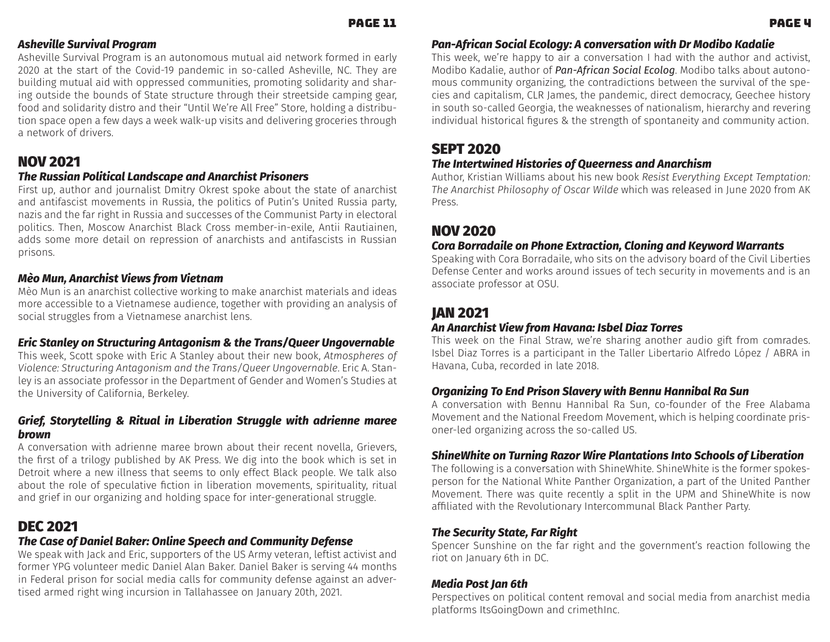### *Asheville Survival Program*

Asheville Survival Program is an autonomous mutual aid network formed in early 2020 at the start of the Covid-19 pandemic in so-called Asheville, NC. They are building mutual aid with oppressed communities, promoting solidarity and sharing outside the bounds of State structure through their streetside camping gear, food and solidarity distro and their "Until We're All Free" Store, holding a distribution space open a few days a week walk-up visits and delivering groceries through a network of drivers.

## NOV 2021

### *The Russian Political Landscape and Anarchist Prisoners*

First up, author and journalist Dmitry Okrest spoke about the state of anarchist and antifascist movements in Russia, the politics of Putin's United Russia party, nazis and the far right in Russia and successes of the Communist Party in electoral politics. Then, Moscow Anarchist Black Cross member-in-exile, Antii Rautiainen, adds some more detail on repression of anarchists and antifascists in Russian prisons.

## *ƮȲ-ʙȢ-ȢŔɧƂǝǨɷʄ-ġǨƟʺɷ-LJɧȲȜ-ġǨƟʄȢŔȜ*

Mèo Mun is an anarchist collective working to make anarchist materials and ideas more accessible to a Vietnamese audience, together with providing an analysis of social struggles from a Vietnamese anarchist lens.

## *Eric Stanley on Structuring Antagonism & the Trans/Queer Ungovernable*

This week, Scott spoke with Eric A Stanley about their new book, At*mospheres of* Violence: Structuring Antagonism and the Trans/Queer Ungovernable. Eric A. Stanley is an associate professor in the Department of Gender and Women's Studies at the University of California, Berkeley.

## *Grief, Storytelling & Ritual in Liberation Struggle with adrienne maree brown*

A conversation with adrienne maree brown about their recent novella, Grievers, the first of a trilogy published by AK Press. We dig into the book which is set in Detroit where a new illness that seems to only effect Black people. We talk also about the role of speculative fiction in liberation movements, spirituality, ritual and grief in our organizing and holding space for inter-generational struggle.

# DEC 2021

## *The Case of Daniel Baker: Online Speech and Community Defense*

We speak with Jack and Eric, supporters of the US Army veteran, leftist activist and former YPG volunteer medic Daniel Alan Baker. Daniel Baker is serving 44 months in Federal prison for social media calls for community defense against an advertised armed right wing incursion in Tallahassee on January 20th, 2021.

## *Pan-African Social Ecology: A conversation with Dr Modibo Kadalie*

This week, we're happy to air a conversation I had with the author and activist, Modibo Kadalie, author of **Pan-African Social Ecolog**. Modibo talks about autonomous community organizing, the contradictions between the survival of the species and capitalism, CLR James, the pandemic, direct democracy, Geechee history in south so-called Georgia, the weaknesses of nationalism, hierarchy and revering individual historical figures & the strength of spontaneity and community action.

## SEPT 2020

### *The Intertwined Histories of Queerness and Anarchism*

Author, Kristian Williams about his new book *Resist Everything Except Temptation:*  The Anarchist Philosophy of Oscar Wilde which was released in June 2020 from AK Press.

## NOV 2020

### Cora Borradaile on Phone Extraction, Cloning and Keyword Warrants

Speaking with Cora Borradaile, who sits on the advisory board of the Civil Liberties Defense Center and works around issues of tech security in movements and is an associate professor at OSU.

# JAN 2021

## *An Anarchist View from Havana: Isbel Diaz Torres*

This week on the Final Straw, we're sharing another audio gift from comrades. Isbel Diaz Torres is a participant in the Taller Libertario Alfredo López / ABRA in Havana, Cuba, recorded in late 2018.

## *Organizing To End Prison Slavery with Bennu Hannibal Ra Sun*

A conversation with Bennu Hannibal Ra Sun, co-founder of the Free Alabama Movement and the National Freedom Movement, which is helping coordinate prisoner-led organizing across the so-called US.

## *ShineWhite on Turning Razor Wire Plantations Into Schools of Liberation*

The following is a conversation with ShineWhite. ShineWhite is the former spokesperson for the National White Panther Organization, a part of the United Panther Movement. There was quite recently a split in the UPM and ShineWhite is now affiliated with the Revolutionary Intercommunal Black Panther Party.

## *The Security State, Far Right*

Spencer Sunshine on the far right and the government's reaction following the riot on January 6th in DC.

## *ƟƌǨŔ-ÚȲɷʄ-ŔȢ-ࠈʄǝ*

Perspectives on political content removal and social media from anarchist media platforms ItsGoingDown and crimethInc.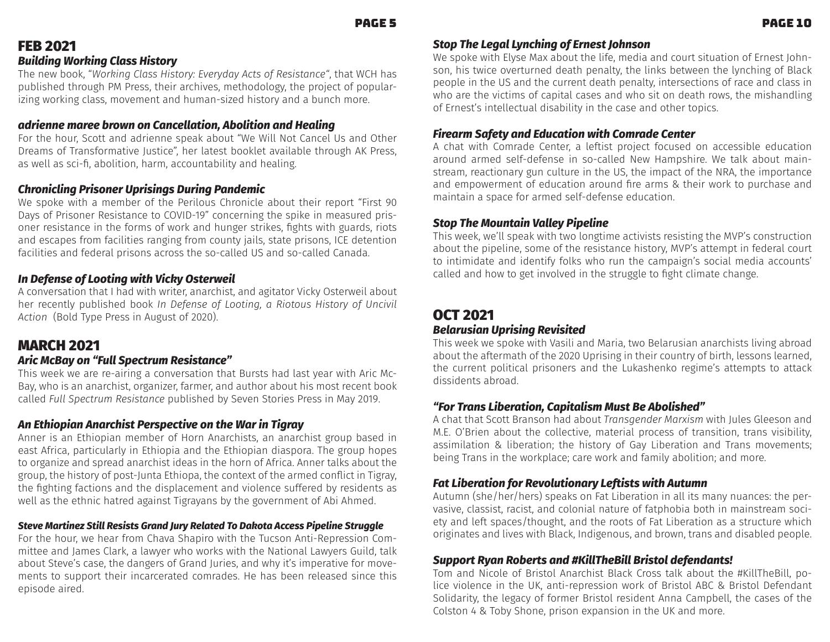# FEB 2021

### *Building Working Class History*

The new book, "Working Class History: Everyday Acts of Resistance", that WCH has published through PM Press, their archives, methodology, the project of popularizing working class, movement and human-sized history and a bunch more.

#### *adrienne maree brown on Cancellation, Abolition and Healing*

For the hour, Scott and adrienne speak about "We Will Not Cancel Us and Other Dreams of Transformative Justice", her latest booklet available through AK Press, as well as sci-fi, abolition, harm, accountability and healing.

## *,ǝɧȲȢǨƂȊǨȢNJ-ÚɧǨɷȲȢƟɧ-ĄɝɧǨɷǨȢNJɷ-5ʙɧǨȢNJ-ÚŔȢƌƟȜǨƂ*

We spoke with a member of the Perilous Chronicle about their report "First 90 Days of Prisoner Resistance to COVID-19" concerning the spike in measured prisoner resistance in the forms of work and hunger strikes, fights with guards, riots and escapes from facilities ranging from county jails, state prisons, ICE detention facilities and federal prisons across the so-called US and so-called Canada.

### *In Defense of Looting with Vicky Osterweil*

A conversation that I had with writer, anarchist, and agitator Vicky Osterweil about her recently published book In Defense of Looting, a Riotous History of Uncivil A*ction* (Bold Type Press in August of 2020).

## MARCH 2021

### *ɧǨƂ-Ƃ%Ŕ˃-ȲȢ-ࢧ`ʙȊȊ-êɝƟƂʄɧʙȜ-áƟɷǨɷʄŔȢƂƟࢨ*

This week we are re-airing a conversation that Bursts had last year with Aric Mc-Bay, who is an anarchist, organizer, farmer, and author about his most recent book called Full Spectrum Resistance published by Seven Stories Press in May 2019.

#### An Ethiopian Anarchist Perspective on the War in Tigray

Anner is an Ethiopian member of Horn Anarchists, an anarchist group based in east Africa, particularly in Ethiopia and the Ethiopian diaspora. The group hopes to organize and spread anarchist ideas in the horn of Africa. Anner talks about the group, the history of post-Junta Ethiopa, the context of the armed conflict in Tigray, the fighting factions and the displacement and violence suffered by residents as well as the ethnic hatred against Tigrayans by the government of Abi Ahmed.

## *êʄƟʶƟ-ŔɧʄǨȢƟˏ-êʄǨȊȊ-áƟɷǨɷʄɷ-cɧŔȢƌ-ʙɧ˃-áƟȊŔʄƟƌ-õȲ-5ŔȄȲʄŔ-ƂƂƟɷɷ-ÚǨɝƟȊǨȢƟ-êʄɧʙNJNJȊƟ*

For the hour, we hear from Chava Shapiro with the Tucson Anti-Repression Committee and James Clark, a lawyer who works with the National Lawyers Guild, talk about Steve's case, the dangers of Grand Juries, and why it's imperative for movements to support their incarcerated comrades. He has been released since this episode aired.

## *Stop The Legal Lynching of Ernest Johnson*

We spoke with Elyse Max about the life, media and court situation of Ernest Johnson, his twice overturned death penalty, the links between the lynching of Black people in the US and the current death penalty, intersections of race and class in who are the victims of capital cases and who sit on death rows, the mishandling of Ernest's intellectual disability in the case and other topics.

## *`ǨɧƟŔɧȜ-êŔLJƟʄ˃-ŔȢƌ-DƌʙƂŔʄǨȲȢ-ʺǨʄǝ-,ȲȜɧŔƌƟ-,ƟȢʄƟɧ*

A chat with Comrade Center, a leftist project focused on accessible education around armed self-defense in so-called New Hampshire. We talk about mainstream, reactionary gun culture in the US, the impact of the NRA, the importance and empowerment of education around fire arms & their work to purchase and maintain a space for armed self-defense education.

#### *êʄȲɝ-õǝƟ-ȲʙȢʄŔǨȢ-ġŔȊȊƟ˃-ÚǨɝƟȊǨȢƟ*

This week, we'll speak with two longtime activists resisting the MVP's construction about the pipeline, some of the resistance history, MVP's attempt in federal court to intimidate and identify folks who run the campaign's social media accounts' called and how to get involved in the struggle to fight climate change.

# OCT 2021

## *%ƟȊŔɧʙɷǨŔȢ-ĄɝɧǨɷǨȢNJ-áƟʶǨɷǨʄƟƌ*

This week we spoke with Vasili and Maria, two Belarusian anarchists living abroad about the aftermath of the 2020 Uprising in their country of birth, lessons learned, the current political prisoners and the Lukashenko regime's attempts to attack dissidents abroad.

#### *ࢧ`Ȳɧ-õɧŔȢɷ-ǨŸƟɧŔʄǨȲȢ-,ŔɝǨʄŔȊǨɷȜ-ʙɷʄ-%Ɵ-ŸȲȊǨɷǝƟƌࢨ*

A chat that Scott Branson had about *Transgender Marxism* with Jules Gleeson and M.E. O'Brien about the collective, material process of transition, trans visibility, assimilation & liberation; the history of Gay Liberation and Trans movements; being Trans in the workplace; care work and family abolition; and more.

#### *Fat Liberation for Revolutionary Leftists with Autumn*

Autumn (she/her/hers) speaks on Fat Liberation in all its many nuances: the pervasive, classist, racist, and colonial nature of fatphobia both in mainstream society and left spaces/thought, and the roots of Fat Liberation as a structure which originates and lives with Black, Indigenous, and brown, trans and disabled people.

#### *Support Ryan Roberts and #KillTheBill Bristol defendants!*

Tom and Nicole of Bristol Anarchist Black Cross talk about the #KillTheBill, police violence in the UK, anti-repression work of Bristol ABC & Bristol Defendant Solidarity, the legacy of former Bristol resident Anna Campbell, the cases of the Colston 4 & Toby Shone, prison expansion in the UK and more.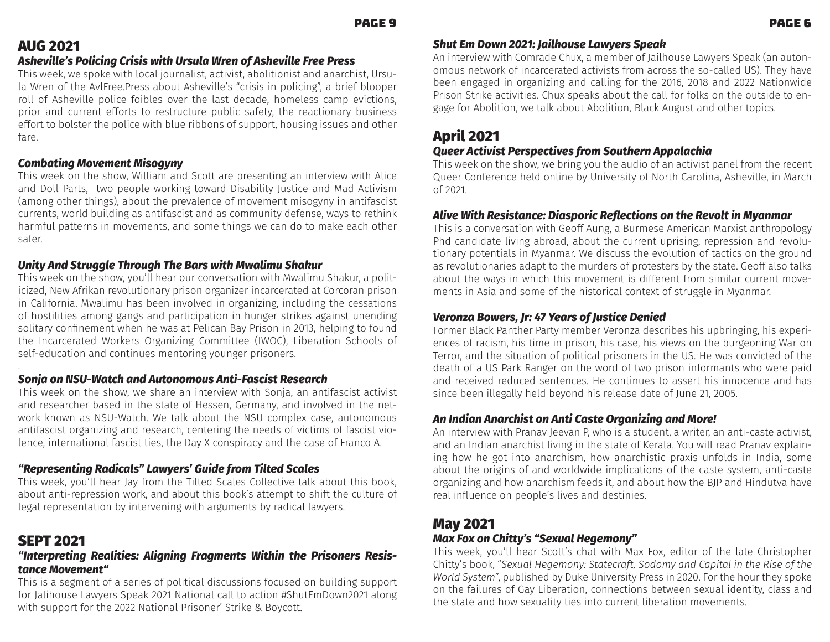# AUG 2021

## *ɷǝƟʶǨȊȊƟࢪɷ-ÚȲȊǨƂǨȢNJ-,ɧǨɷǨɷ-ʺǨʄǝ-ĄɧɷʙȊŔ-ĤɧƟȢ-ȲLJ-ɷǝƟʶǨȊȊƟ-`ɧƟƟ-ÚɧƟɷɷ*

This week, we spoke with local journalist, activist, abolitionist and anarchist, Ursula Wren of the AvlFree.Press about Asheville's "crisis in policing", a brief blooper roll of Asheville police foibles over the last decade, homeless camp evictions, prior and current efforts to restructure public safety, the reactionary business effort to bolster the police with blue ribbons of support, housing issues and other fare.

## Combating Movement Misogyny

This week on the show, William and Scott are presenting an interview with Alice and Doll Parts, two people working toward Disability Justice and Mad Activism (among other things), about the prevalence of movement misogyny in antifascist currents, world building as antifascist and as community defense, ways to rethink harmful patterns in movements, and some things we can do to make each other safer.

## Unity And Struggle Through The Bars with Mwalimu Shakur

This week on the show, you'll hear our conversation with Mwalimu Shakur, a politicized, New Afrikan revolutionary prison organizer incarcerated at Corcoran prison in California. Mwalimu has been involved in organizing, including the cessations of hostilities among gangs and participation in hunger strikes against unending solitary confinement when he was at Pelican Bay Prison in 2013, helping to found the Incarcerated Workers Organizing Committee (IWOC), Liberation Schools of self-education and continues mentoring younger prisoners.

#### . Sonja on NSU-Watch and Autonomous Anti-Fascist Research

This week on the show, we share an interview with Sonja, an antifascist activist and researcher based in the state of Hessen, Germany, and involved in the network known as NSU-Watch. We talk about the NSU complex case, autonomous antifascist organizing and research, centering the needs of victims of fascist violence, international fascist ties, the Day X conspiracy and the case of Franco A.

# *ࢧáƟɝɧƟɷƟȢʄǨȢNJ-áŔƌǨƂŔȊɷࢨ-Ŕʺ˃Ɵɧɷࢪ-cʙǨƌƟ-LJɧȲȜ-õǨȊʄƟƌ-êƂŔȊƟɷ*

This week, you'll hear Jay from the Tilted Scales Collective talk about this book, about anti-repression work, and about this book's attempt to shift the culture of legal representation by intervening with arguments by radical lawyers.

# SEPT 2021

## "Interpreting Realities: Aligning Fragments Within the Prisoners Resis*ʄŔȢƂƟ-ȲʶƟȜƟȢʄࢧ*

This is a segment of a series of political discussions focused on building support for Jalihouse Lawyers Speak 2021 National call to action #ShutEmDown2021 along with support for the 2022 National Prisoner' Strike & Boycott.

## *Shut Em Down 2021: Jailhouse Lawyers Speak*

An interview with Comrade Chux, a member of Jailhouse Lawyers Speak (an autonomous network of incarcerated activists from across the so-called US). They have been engaged in organizing and calling for the 2016, 2018 and 2022 Nationwide Prison Strike activities. Chux speaks about the call for folks on the outside to engage for Abolition, we talk about Abolition, Black August and other topics.

# April 2021

## *Queer Activist Perspectives from Southern Appalachia*

This week on the show, we bring you the audio of an activist panel from the recent Queer Conference held online by University of North Carolina, Asheville, in March of 2021.

# *ȊǨʶƟ-ĤǨʄǝ-áƟɷǨɷʄŔȢƂƟ-5ǨŔɷɝȲɧǨƂ-áƟ˪ƟƂʄǨȲȢɷ-ȲȢ-ʄǝƟ-áƟʶȲȊʄ-ǨȢ-˃ŔȢȜŔɧ*

This is a conversation with Geoff Aung, a Burmese American Marxist anthropology Phd candidate living abroad, about the current uprising, repression and revolutionary potentials in Myanmar. We discuss the evolution of tactics on the ground as revolutionaries adapt to the murders of protesters by the state. Geoff also talks about the ways in which this movement is different from similar current movements in Asia and some of the historical context of struggle in Myanmar.

## *ġƟɧȲȢˏŔ-%ȲʺƟɧɷ-ɧ-ࠉࠆ-ĬƟŔɧɷ-ȲLJ-ʙɷʄǨƂƟ-5ƟȢǨƟƌ*

Former Black Panther Party member Veronza describes his upbringing, his experiences of racism, his time in prison, his case, his views on the burgeoning War on Terror, and the situation of political prisoners in the US. He was convicted of the death of a US Park Ranger on the word of two prison informants who were paid and received reduced sentences. He continues to assert his innocence and has since been illegally held beyond his release date of June 21, 2005.

## An Indian Anarchist on Anti Caste Organizing and More!

An interview with Pranav Jeevan P, who is a student, a writer, an anti-caste activist, and an Indian anarchist living in the state of Kerala. You will read Pranav explaining how he got into anarchism, how anarchistic praxis unfolds in India, some about the origins of and worldwide implications of the caste system, anti-caste organizing and how anarchism feeds it, and about how the BJP and Hindutva have real influence on people's lives and destinies.

# May 2021

## *Max Fox on Chitty's "Sexual Hegemony"*

This week, you'll hear Scott's chat with Max Fox, editor of the late Christopher Chitty's book, "Sexual Hegemony: Statecraft, Sodomy and Capital in the Rise of the World System", published by Duke University Press in 2020. For the hour they spoke on the failures of Gay Liberation, connections between sexual identity, class and the state and how sexuality ties into current liberation movements.